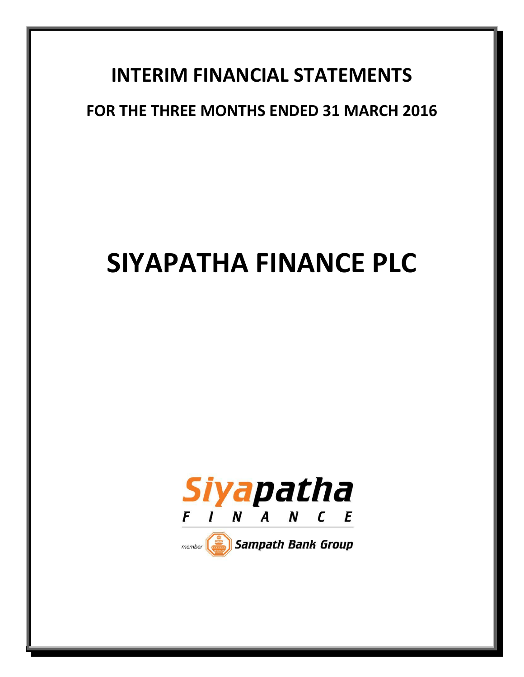# **INTERIM FINANCIAL STATEMENTS**

# **FOR THE THREE MONTHS ENDED 31 MARCH 2016**

# **SIYAPATHA FINANCE PLC**



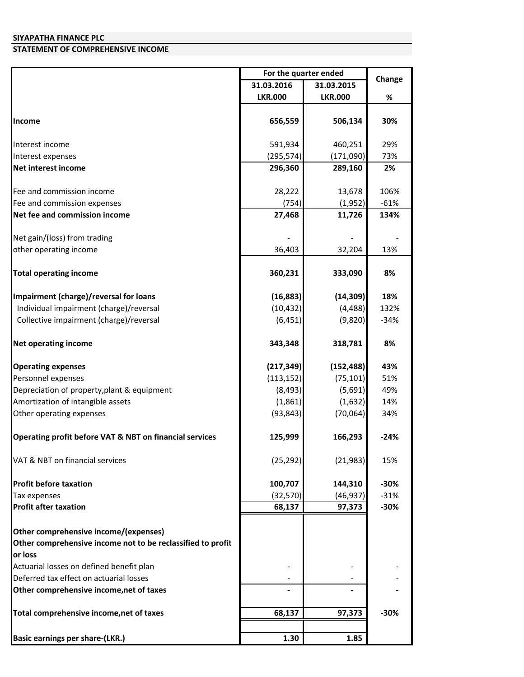## **STATEMENT OF COMPREHENSIVE INCOME**

|                                                             | For the quarter ended |                |        |
|-------------------------------------------------------------|-----------------------|----------------|--------|
|                                                             | 31.03.2016            | 31.03.2015     | Change |
|                                                             | <b>LKR.000</b>        | <b>LKR.000</b> | %      |
|                                                             |                       |                |        |
| <b>Income</b>                                               | 656,559               | 506,134        | 30%    |
| Interest income                                             | 591,934               | 460,251        | 29%    |
| Interest expenses                                           | (295, 574)            | (171,090)      | 73%    |
| Net interest income                                         | 296,360               | 289,160        | 2%     |
| Fee and commission income                                   | 28,222                | 13,678         | 106%   |
| Fee and commission expenses                                 | (754)                 | (1,952)        | $-61%$ |
| Net fee and commission income                               | 27,468                | 11,726         | 134%   |
|                                                             |                       |                |        |
| Net gain/(loss) from trading                                |                       |                |        |
| other operating income                                      | 36,403                | 32,204         | 13%    |
| <b>Total operating income</b>                               | 360,231               | 333,090        | 8%     |
| Impairment (charge)/reversal for loans                      | (16, 883)             | (14, 309)      | 18%    |
| Individual impairment (charge)/reversal                     | (10, 432)             | (4, 488)       | 132%   |
| Collective impairment (charge)/reversal                     | (6, 451)              | (9,820)        | $-34%$ |
| <b>Net operating income</b>                                 | 343,348               | 318,781        | 8%     |
| <b>Operating expenses</b>                                   | (217, 349)            | (152, 488)     | 43%    |
| Personnel expenses                                          | (113, 152)            | (75, 101)      | 51%    |
| Depreciation of property, plant & equipment                 | (8, 493)              | (5,691)        | 49%    |
| Amortization of intangible assets                           | (1,861)               | (1,632)        | 14%    |
| Other operating expenses                                    | (93, 843)             | (70,064)       | 34%    |
| Operating profit before VAT & NBT on financial services     | 125,999               | 166,293        | $-24%$ |
| VAT & NBT on financial services                             | (25, 292)             | (21, 983)      | 15%    |
| <b>Profit before taxation</b>                               | 100,707               | 144,310        | $-30%$ |
| Tax expenses                                                | (32, 570)             | (46, 937)      | $-31%$ |
| <b>Profit after taxation</b>                                | 68,137                | 97,373         | $-30%$ |
| Other comprehensive income/(expenses)                       |                       |                |        |
| Other comprehensive income not to be reclassified to profit |                       |                |        |
| or loss                                                     |                       |                |        |
| Actuarial losses on defined benefit plan                    |                       |                |        |
| Deferred tax effect on actuarial losses                     |                       |                |        |
| Other comprehensive income, net of taxes                    |                       |                |        |
| Total comprehensive income, net of taxes                    | 68,137                | 97,373         | $-30%$ |
| <b>Basic earnings per share-(LKR.)</b>                      | 1.30                  | 1.85           |        |
|                                                             |                       |                |        |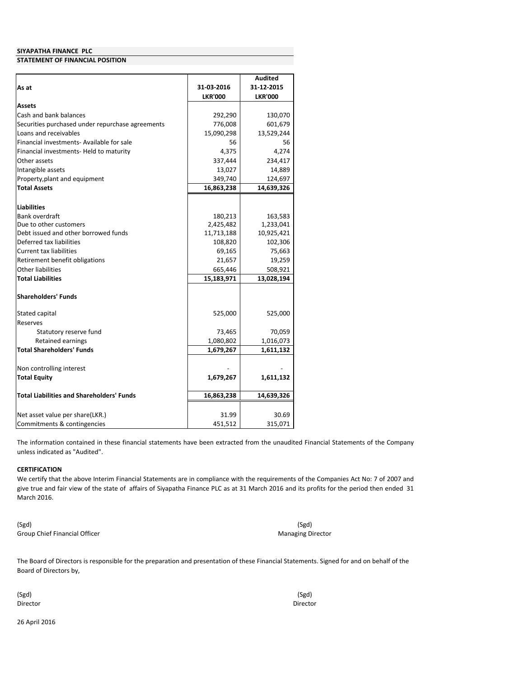#### **STATEMENT OF FINANCIAL POSITION**

|                                                  |                      | <b>Audited</b>       |
|--------------------------------------------------|----------------------|----------------------|
| As at                                            | 31-03-2016           | 31-12-2015           |
|                                                  | <b>LKR'000</b>       | <b>LKR'000</b>       |
| Assets                                           |                      |                      |
| Cash and bank balances                           | 292,290              | 130,070              |
| Securities purchased under repurchase agreements | 776,008              | 601,679              |
| Loans and receivables                            | 15,090,298           | 13,529,244           |
| Financial investments- Available for sale        | 56                   | 56                   |
| Financial investments- Held to maturity          | 4,375                | 4,274                |
| Other assets                                     | 337,444              | 234,417              |
| Intangible assets                                | 13,027               | 14,889               |
| Property, plant and equipment                    | 349,740              | 124,697              |
| <b>Total Assets</b>                              | 16,863,238           | 14,639,326           |
| <b>Liabilities</b>                               |                      |                      |
| Bank overdraft                                   |                      |                      |
| Due to other customers                           | 180,213<br>2,425,482 | 163,583<br>1,233,041 |
| Debt issued and other borrowed funds             | 11,713,188           | 10,925,421           |
| Deferred tax liabilities                         | 108,820              | 102,306              |
| <b>Current tax liabilities</b>                   | 69,165               | 75,663               |
| Retirement benefit obligations                   | 21,657               | 19,259               |
| Other liabilities                                | 665,446              | 508,921              |
| <b>Total Liabilities</b>                         | 15,183,971           | 13,028,194           |
|                                                  |                      |                      |
| <b>Shareholders' Funds</b>                       |                      |                      |
| Stated capital                                   | 525,000              | 525,000              |
| Reserves                                         |                      |                      |
| Statutory reserve fund                           | 73,465               | 70,059               |
| <b>Retained earnings</b>                         | 1,080,802            | 1,016,073            |
| <b>Total Shareholders' Funds</b>                 | 1,679,267            | 1,611,132            |
| Non controlling interest                         |                      |                      |
| <b>Total Equity</b>                              | 1,679,267            | 1,611,132            |
|                                                  |                      |                      |
| <b>Total Liabilities and Shareholders' Funds</b> | 16,863,238           | 14,639,326           |
| Net asset value per share(LKR.)                  | 31.99                | 30.69                |
| Commitments & contingencies                      | 451,512              | 315,071              |

The information contained in these financial statements have been extracted from the unaudited Financial Statements of the Company unless indicated as "Audited".

#### **CERTIFICATION**

We certify that the above Interim Financial Statements are in compliance with the requirements of the Companies Act No: 7 of 2007 and give true and fair view of the state of affairs of Siyapatha Finance PLC as at 31 March 2016 and its profits for the period then ended 31 March 2016.

(Sgd) Group Chief Financial Officer

(Sgd) Managing Director

The Board of Directors is responsible for the preparation and presentation of these Financial Statements. Signed for and on behalf of the Board of Directors by,

(Sgd) Director

(Sgd) Director

26 April 2016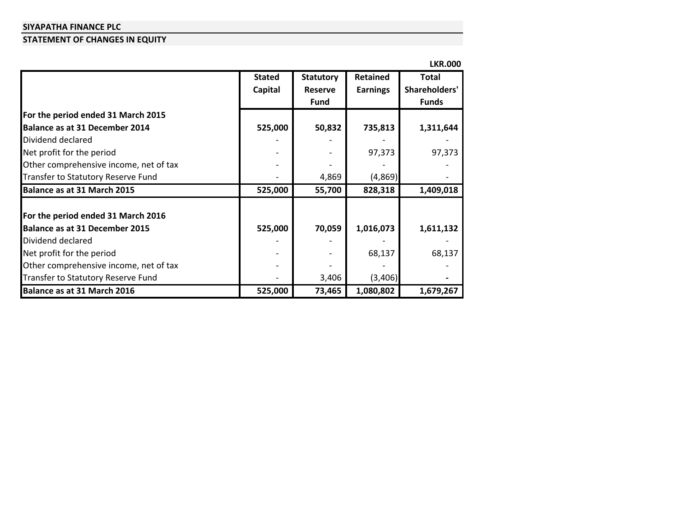#### **STATEMENT OF CHANGES IN EQUITY**

|                                        |               |                  |                 | <b>LKR.000</b> |
|----------------------------------------|---------------|------------------|-----------------|----------------|
|                                        | <b>Stated</b> | <b>Statutory</b> | <b>Retained</b> | <b>Total</b>   |
|                                        | Capital       | <b>Reserve</b>   | <b>Earnings</b> | Shareholders'  |
|                                        |               | <b>Fund</b>      |                 | <b>Funds</b>   |
| For the period ended 31 March 2015     |               |                  |                 |                |
| Balance as at 31 December 2014         | 525,000       | 50,832           | 735,813         | 1,311,644      |
| Dividend declared                      |               |                  |                 |                |
| Net profit for the period              |               |                  | 97,373          | 97,373         |
| Other comprehensive income, net of tax |               |                  |                 |                |
| Transfer to Statutory Reserve Fund     |               | 4,869            | (4,869)         |                |
| Balance as at 31 March 2015            | 525,000       | 55,700           | 828,318         | 1,409,018      |
| For the period ended 31 March 2016     |               |                  |                 |                |
| Balance as at 31 December 2015         | 525,000       | 70,059           | 1,016,073       | 1,611,132      |
| Dividend declared                      |               |                  |                 |                |
| Net profit for the period              |               |                  | 68,137          | 68,137         |
| Other comprehensive income, net of tax |               |                  |                 |                |
| Transfer to Statutory Reserve Fund     |               | 3,406            | (3,406)         |                |
| Balance as at 31 March 2016            | 525,000       | 73,465           | 1,080,802       | 1,679,267      |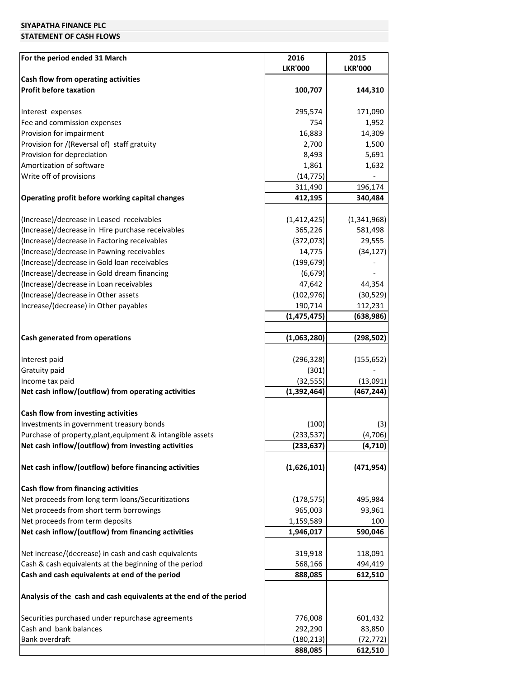#### **STATEMENT OF CASH FLOWS**

| For the period ended 31 March                                      | 2016           | 2015           |
|--------------------------------------------------------------------|----------------|----------------|
|                                                                    | <b>LKR'000</b> | <b>LKR'000</b> |
| Cash flow from operating activities                                |                |                |
| <b>Profit before taxation</b>                                      | 100,707        | 144,310        |
| Interest expenses                                                  | 295,574        | 171,090        |
| Fee and commission expenses                                        | 754            | 1,952          |
| Provision for impairment                                           | 16,883         | 14,309         |
| Provision for /(Reversal of) staff gratuity                        | 2,700          | 1,500          |
| Provision for depreciation                                         | 8,493          | 5,691          |
| Amortization of software                                           | 1,861          | 1,632          |
| Write off of provisions                                            | (14, 775)      |                |
|                                                                    | 311,490        | 196,174        |
| Operating profit before working capital changes                    | 412,195        | 340,484        |
| (Increase)/decrease in Leased receivables                          | (1,412,425)    | (1,341,968)    |
| (Increase)/decrease in Hire purchase receivables                   | 365,226        | 581,498        |
| (Increase)/decrease in Factoring receivables                       | (372,073)      | 29,555         |
| (Increase)/decrease in Pawning receivables                         | 14,775         | (34, 127)      |
| (Increase)/decrease in Gold loan receivables                       | (199, 679)     |                |
| (Increase)/decrease in Gold dream financing                        | (6, 679)       |                |
| (Increase)/decrease in Loan receivables                            | 47,642         | 44,354         |
| (Increase)/decrease in Other assets                                | (102, 976)     | (30, 529)      |
| Increase/(decrease) in Other payables                              | 190,714        | 112,231        |
|                                                                    | (1, 475, 475)  | (638,986)      |
| Cash generated from operations                                     | (1,063,280)    | (298, 502)     |
| Interest paid                                                      | (296, 328)     | (155, 652)     |
| Gratuity paid                                                      | (301)          |                |
| Income tax paid                                                    | (32, 555)      | (13,091)       |
| Net cash inflow/(outflow) from operating activities                | (1, 392, 464)  | (467, 244)     |
| Cash flow from investing activities                                |                |                |
| Investments in government treasury bonds                           | (100)          | (3)            |
| Purchase of property, plant, equipment & intangible assets         | (233, 537)     | (4,706)        |
| Net cash inflow/(outflow) from investing activities                | (233, 637)     | (4,710)        |
| Net cash inflow/(outflow) before financing activities              | (1,626,101)    | (471, 954)     |
| Cash flow from financing activities                                |                |                |
| Net proceeds from long term loans/Securitizations                  | (178, 575)     | 495,984        |
| Net proceeds from short term borrowings                            | 965,003        | 93,961         |
| Net proceeds from term deposits                                    | 1,159,589      | 100            |
| Net cash inflow/(outflow) from financing activities                | 1,946,017      | 590,046        |
| Net increase/(decrease) in cash and cash equivalents               | 319,918        | 118,091        |
| Cash & cash equivalents at the beginning of the period             | 568,166        | 494,419        |
| Cash and cash equivalents at end of the period                     | 888,085        | 612,510        |
| Analysis of the cash and cash equivalents at the end of the period |                |                |
| Securities purchased under repurchase agreements                   | 776,008        | 601,432        |
| Cash and bank balances                                             | 292,290        | 83,850         |
| Bank overdraft                                                     | (180, 213)     | (72, 772)      |
|                                                                    | 888,085        | 612,510        |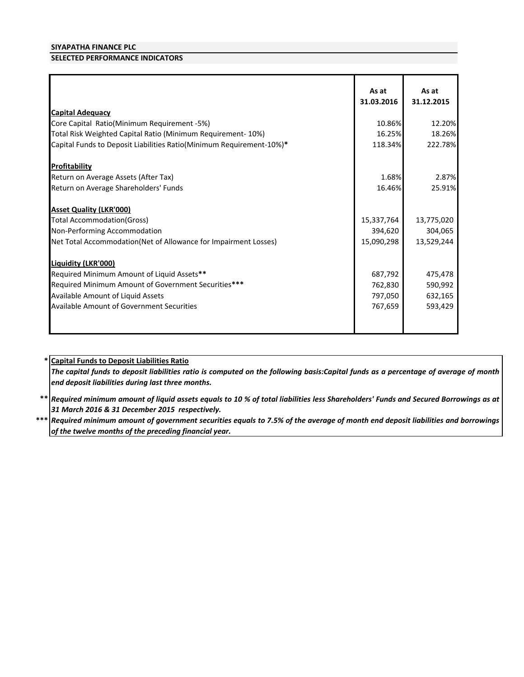#### **SELECTED PERFORMANCE INDICATORS**

| <b>Capital Adequacy</b>                                                                                                                                                                                           | As at<br>31.03.2016                      | As at<br>31.12.2015                      |
|-------------------------------------------------------------------------------------------------------------------------------------------------------------------------------------------------------------------|------------------------------------------|------------------------------------------|
| Core Capital Ratio(Minimum Requirement -5%)                                                                                                                                                                       | 10.86%                                   | 12.20%                                   |
| Total Risk Weighted Capital Ratio (Minimum Requirement-10%)                                                                                                                                                       | 16.25%                                   | 18.26%                                   |
| Capital Funds to Deposit Liabilities Ratio(Minimum Requirement-10%)*                                                                                                                                              | 118.34%                                  | 222.78%                                  |
|                                                                                                                                                                                                                   |                                          |                                          |
| Profitability                                                                                                                                                                                                     |                                          |                                          |
| Return on Average Assets (After Tax)                                                                                                                                                                              | 1.68%                                    | 2.87%                                    |
| Return on Average Shareholders' Funds                                                                                                                                                                             | 16.46%                                   | 25.91%                                   |
| <b>Asset Quality (LKR'000)</b><br><b>Total Accommodation (Gross)</b><br>Non-Performing Accommodation                                                                                                              | 15,337,764<br>394,620                    | 13,775,020<br>304,065                    |
| Net Total Accommodation(Net of Allowance for Impairment Losses)                                                                                                                                                   | 15,090,298                               | 13,529,244                               |
| Liquidity (LKR'000)<br>Required Minimum Amount of Liquid Assets**<br>Required Minimum Amount of Government Securities***<br>Available Amount of Liquid Assets<br><b>Available Amount of Government Securities</b> | 687,792<br>762,830<br>797,050<br>767,659 | 475,478<br>590,992<br>632,165<br>593,429 |

#### **\* Capital Funds to Deposit Liabilities Ratio**

The capital funds to deposit liabilities ratio is computed on the following basis:Capital funds as a percentage of average of month *end deposit liabilities during last three months.*

\*\* |Required minimum amount of liquid assets equals to 10 % of total liabilities less Shareholders' Funds and Secured Borrowings as at *31 March 2016 & 31 December 2015 respectively.*

 $***$   $\vert$  Required minimum amount of government securities equals to 7.5% of the average of month end deposit liabilities and borrowings *of the twelve months of the preceding financial year.*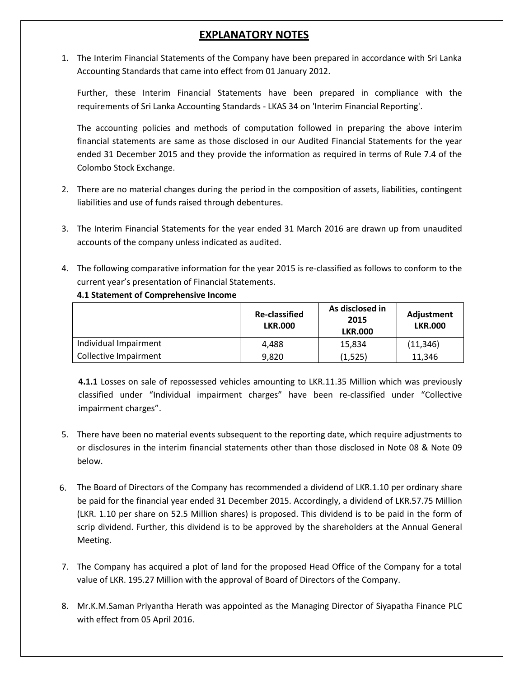# **EXPLANATORY NOTES**

1. The Interim Financial Statements of the Company have been prepared in accordance with Sri Lanka Accounting Standards that came into effect from 01 January 2012.

Further, these Interim Financial Statements have been prepared in compliance with the requirements of Sri Lanka Accounting Standards - LKAS 34 on 'Interim Financial Reporting'.

The accounting policies and methods of computation followed in preparing the above interim financial statements are same as those disclosed in our Audited Financial Statements for the year ended 31 December 2015 and they provide the information as required in terms of Rule 7.4 of the Colombo Stock Exchange.

- 2. There are no material changes during the period in the composition of assets, liabilities, contingent liabilities and use of funds raised through debentures.
- 3. The Interim Financial Statements for the year ended 31 March 2016 are drawn up from unaudited accounts of the company unless indicated as audited.
- 4. The following comparative information for the year 2015 is re-classified as follows to conform to the current year's presentation of Financial Statements.

|                       | <b>Re-classified</b><br><b>LKR.000</b> | As disclosed in<br>2015<br><b>LKR.000</b> | Adjustment<br><b>LKR.000</b> |
|-----------------------|----------------------------------------|-------------------------------------------|------------------------------|
| Individual Impairment | 4.488                                  | 15.834                                    | (11, 346)                    |
| Collective Impairment | 9,820                                  | (1,525)                                   | 11.346                       |

**4.1 Statement of Comprehensive Income**

**4.1.1** Losses on sale of repossessed vehicles amounting to LKR.11.35 Million which was previously classified under "Individual impairment charges" have been re-classified under "Collective impairment charges".

- 5. There have been no material events subsequent to the reporting date, which require adjustments to or disclosures in the interim financial statements other than those disclosed in Note 08 & Note 09 below.
- 6. The Board of Directors of the Company has recommended a dividend of LKR.1.10 per ordinary share 6.be paid for the financial year ended 31 December 2015. Accordingly, a dividend of LKR.57.75 Million (LKR. 1.10 per share on 52.5 Million shares) is proposed. This dividend is to be paid in the form of scrip dividend. Further, this dividend is to be approved by the shareholders at the Annual General Meeting.
- 7. The Company has acquired a plot of land for the proposed Head Office of the Company for a total value of LKR. 195.27 Million with the approval of Board of Directors of the Company.
- 8. Mr.K.M.Saman Priyantha Herath was appointed as the Managing Director of Siyapatha Finance PLC with effect from 05 April 2016.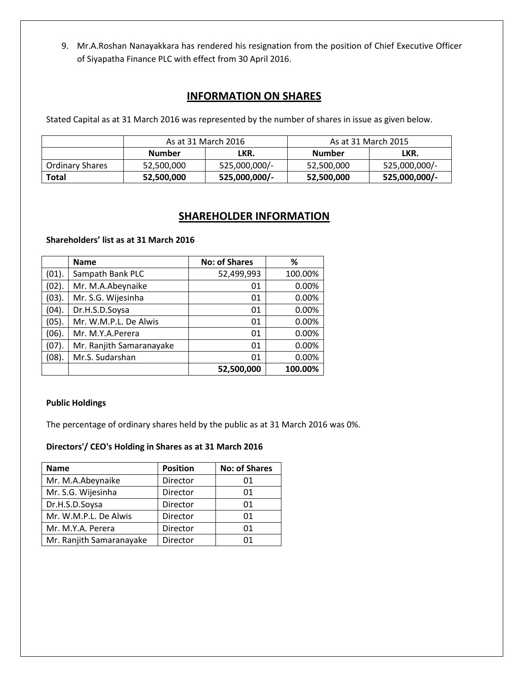9. Mr.A.Roshan Nanayakkara has rendered his resignation from the position of Chief Executive Officer of Siyapatha Finance PLC with effect from 30 April 2016.

# **INFORMATION ON SHARES**

Stated Capital as at 31 March 2016 was represented by the number of shares in issue as given below.

|                        | As at 31 March 2016 |               | As at 31 March 2015 |               |
|------------------------|---------------------|---------------|---------------------|---------------|
|                        | <b>Number</b>       | LKR.          | <b>Number</b>       | LKR.          |
| <b>Ordinary Shares</b> | 52,500,000          | 525,000,000/- | 52,500,000          | 525,000,000/- |
| <b>Total</b>           | 52,500,000          | 525,000,000/- | 52,500,000          | 525,000,000/- |

# **SHAREHOLDER INFORMATION**

#### **Shareholders' list as at 31 March 2016**

|       | <b>Name</b>              | <b>No: of Shares</b> | ℅       |
|-------|--------------------------|----------------------|---------|
| (01). | Sampath Bank PLC         | 52,499,993           | 100.00% |
| (02). | Mr. M.A.Abeynaike        | 01                   | 0.00%   |
| (03). | Mr. S.G. Wijesinha       | 01                   | 0.00%   |
| (04). | Dr.H.S.D.Soysa           | 01                   | 0.00%   |
| (05). | Mr. W.M.P.L. De Alwis    | 01                   | 0.00%   |
| (06). | Mr. M.Y.A.Perera         | 01                   | 0.00%   |
| (07). | Mr. Ranjith Samaranayake | 01                   | 0.00%   |
| (08). | Mr.S. Sudarshan          | 01                   | 0.00%   |
|       |                          | 52,500,000           | 100.00% |

#### **Public Holdings**

The percentage of ordinary shares held by the public as at 31 March 2016 was 0%.

#### **Directors'/ CEO's Holding in Shares as at 31 March 2016**

| <b>Name</b>              | <b>Position</b> | <b>No: of Shares</b> |
|--------------------------|-----------------|----------------------|
| Mr. M.A.Abeynaike        | Director        | 01                   |
| Mr. S.G. Wijesinha       | Director        | 01                   |
| Dr.H.S.D.Soysa           | Director        | 01                   |
| Mr. W.M.P.L. De Alwis    | Director        | 01                   |
| Mr. M.Y.A. Perera        | Director        | 01                   |
| Mr. Ranjith Samaranayake | Director        | በ1                   |